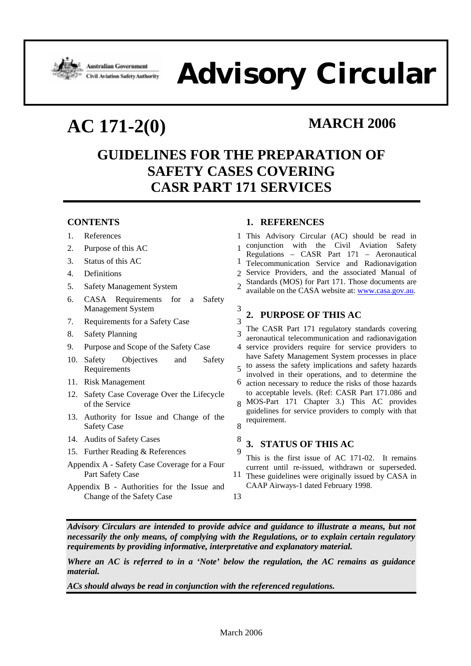

# **Advisory Circular**

## **AC 171-2(0) MARCH 2006**

### **GUIDELINES FOR THE PREPARATION OF SAFETY CASES COVERING CASR PART 171 SERVICES**

#### **CONTENTS**

- 1. References 1
- 2. Purpose of this AC
- 3. Status of this AC 1
- 4. Definitions
- 5. Safety Management System 2
- 6. CASA Requirements for a Safety Management System 3
- 7. Requirements for a Safety Case 3
- 8. Safety Planning 3
- 9. Purpose and Scope of the Safety Case 4
- 10. Safety Objectives and Safety Requirements 5
- 11. Risk Management 6
- 12. Safety Case Coverage Over the Lifecycle of the Service
- 13. Authority for Issue and Change of the Safety Case 8
- 14. Audits of Safety Cases 8
- 15. Further Reading & References 9
- Appendix A Safety Case Coverage for a Four Part Safety Case 11
- Appendix B Authorities for the Issue and Change of the Safety Case 13

#### **1. REFERENCES**

This Advisory Circular (AC) should be read in conjunction with the Civil Aviation Safety Regulations – CASR Part 171 – Aeronautical Telecommunication Service and Radionavigation Service Providers, and the associated Manual of Standards (MOS) for Part 171. Those documents are available on the CASA website at: www.casa.gov.au.

#### **2. PURPOSE OF THIS AC**

- The CASR Part 171 regulatory standards covering
- aeronautical telecommunication and radionavigation service providers require for service providers to
- have Safety Management System processes in place to assess the safety implications and safety hazards
- involved in their operations, and to determine the
- action necessary to reduce the risks of those hazards to acceptable levels. (Ref: CASR Part 171.086 and
- MOS-Part 171 Chapter 3.) This AC provides guidelines for service providers to comply with that requirement.
- 

#### **3. STATUS OF THIS AC**

- This is the first issue of AC 171-02. It remains current until re-issued, withdrawn or superseded.
- These guidelines were originally issued by CASA in CAAP Airways-1 dated February 1998.
- 

*Advisory Circulars are intended to provide advice and guidance to illustrate a means, but not necessarily the only means, of complying with the Regulations, or to explain certain regulatory requirements by providing informative, interpretative and explanatory material.* 

*Where an AC is referred to in a 'Note' below the regulation, the AC remains as guidance material.* 

*ACs should always be read in conjunction with the referenced regulations.*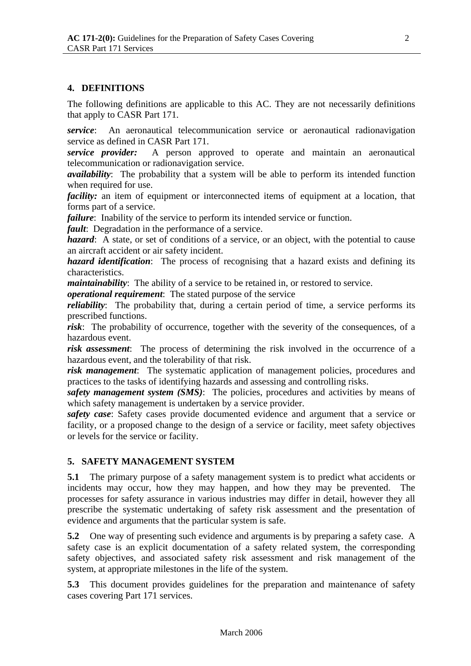#### **4. DEFINITIONS**

The following definitions are applicable to this AC. They are not necessarily definitions that apply to CASR Part 171.

*service*: An aeronautical telecommunication service or aeronautical radionavigation service as defined in CASR Part 171.

*service provider:* A person approved to operate and maintain an aeronautical telecommunication or radionavigation service.

*availability*: The probability that a system will be able to perform its intended function when required for use.

*facility:* an item of equipment or interconnected items of equipment at a location, that forms part of a service.

*failure*: Inability of the service to perform its intended service or function.

*fault*: Degradation in the performance of a service.

*hazard*: A state, or set of conditions of a service, or an object, with the potential to cause an aircraft accident or air safety incident.

*hazard identification*: The process of recognising that a hazard exists and defining its characteristics.

*maintainability*: The ability of a service to be retained in, or restored to service.

*operational requirement*: The stated purpose of the service

*reliability*: The probability that, during a certain period of time, a service performs its prescribed functions.

*risk*: The probability of occurrence, together with the severity of the consequences, of a hazardous event.

*risk assessment*: The process of determining the risk involved in the occurrence of a hazardous event, and the tolerability of that risk.

*risk management*: The systematic application of management policies, procedures and practices to the tasks of identifying hazards and assessing and controlling risks.

*safety management system (SMS)*: The policies, procedures and activities by means of which safety management is undertaken by a service provider.

*safety case*: Safety cases provide documented evidence and argument that a service or facility, or a proposed change to the design of a service or facility, meet safety objectives or levels for the service or facility.

#### **5. SAFETY MANAGEMENT SYSTEM**

**5.1** The primary purpose of a safety management system is to predict what accidents or incidents may occur, how they may happen, and how they may be prevented. The processes for safety assurance in various industries may differ in detail, however they all prescribe the systematic undertaking of safety risk assessment and the presentation of evidence and arguments that the particular system is safe.

**5.2** One way of presenting such evidence and arguments is by preparing a safety case. A safety case is an explicit documentation of a safety related system, the corresponding safety objectives, and associated safety risk assessment and risk management of the system, at appropriate milestones in the life of the system.

**5.3** This document provides guidelines for the preparation and maintenance of safety cases covering Part 171 services.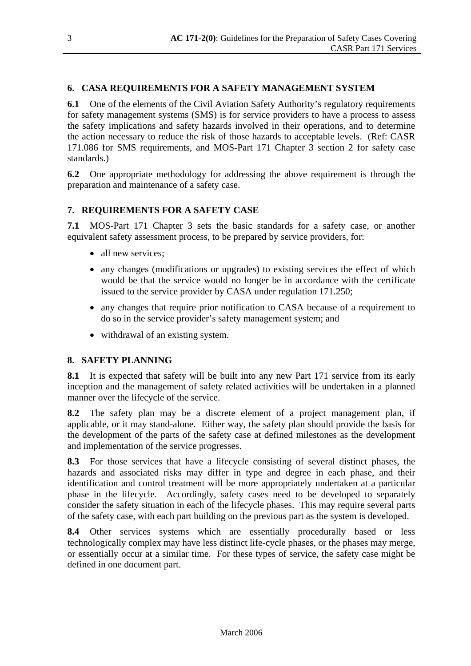#### **6. CASA REQUIREMENTS FOR A SAFETY MANAGEMENT SYSTEM**

**6.1** One of the elements of the Civil Aviation Safety Authority's regulatory requirements for safety management systems (SMS) is for service providers to have a process to assess the safety implications and safety hazards involved in their operations, and to determine the action necessary to reduce the risk of those hazards to acceptable levels. (Ref: CASR 171.086 for SMS requirements, and MOS-Part 171 Chapter 3 section 2 for safety case standards.)

**6.2** One appropriate methodology for addressing the above requirement is through the preparation and maintenance of a safety case.

#### **7. REQUIREMENTS FOR A SAFETY CASE**

**7.1** MOS-Part 171 Chapter 3 sets the basic standards for a safety case, or another equivalent safety assessment process, to be prepared by service providers, for:

- all new services;
- any changes (modifications or upgrades) to existing services the effect of which would be that the service would no longer be in accordance with the certificate issued to the service provider by CASA under regulation 171.250;
- any changes that require prior notification to CASA because of a requirement to do so in the service provider's safety management system; and
- withdrawal of an existing system.

#### **8. SAFETY PLANNING**

**8.1** It is expected that safety will be built into any new Part 171 service from its early inception and the management of safety related activities will be undertaken in a planned manner over the lifecycle of the service.

**8.2** The safety plan may be a discrete element of a project management plan, if applicable, or it may stand-alone. Either way, the safety plan should provide the basis for the development of the parts of the safety case at defined milestones as the development and implementation of the service progresses.

**8.3** For those services that have a lifecycle consisting of several distinct phases, the hazards and associated risks may differ in type and degree in each phase, and their identification and control treatment will be more appropriately undertaken at a particular phase in the lifecycle. Accordingly, safety cases need to be developed to separately consider the safety situation in each of the lifecycle phases. This may require several parts of the safety case, with each part building on the previous part as the system is developed.

**8.4** Other services systems which are essentially procedurally based or less technologically complex may have less distinct life-cycle phases, or the phases may merge, or essentially occur at a similar time. For these types of service, the safety case might be defined in one document part.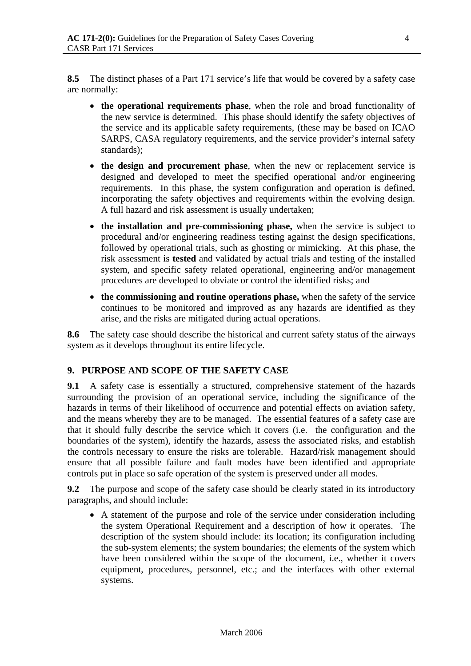**8.5** The distinct phases of a Part 171 service's life that would be covered by a safety case are normally:

- **the operational requirements phase**, when the role and broad functionality of the new service is determined. This phase should identify the safety objectives of the service and its applicable safety requirements, (these may be based on ICAO SARPS, CASA regulatory requirements, and the service provider's internal safety standards);
- **the design and procurement phase**, when the new or replacement service is designed and developed to meet the specified operational and/or engineering requirements. In this phase, the system configuration and operation is defined, incorporating the safety objectives and requirements within the evolving design. A full hazard and risk assessment is usually undertaken;
- **the installation and pre-commissioning phase,** when the service is subject to procedural and/or engineering readiness testing against the design specifications, followed by operational trials, such as ghosting or mimicking. At this phase, the risk assessment is **tested** and validated by actual trials and testing of the installed system, and specific safety related operational, engineering and/or management procedures are developed to obviate or control the identified risks; and
- **the commissioning and routine operations phase,** when the safety of the service continues to be monitored and improved as any hazards are identified as they arise, and the risks are mitigated during actual operations.

**8.6** The safety case should describe the historical and current safety status of the airways system as it develops throughout its entire lifecycle.

#### **9. PURPOSE AND SCOPE OF THE SAFETY CASE**

**9.1** A safety case is essentially a structured, comprehensive statement of the hazards surrounding the provision of an operational service, including the significance of the hazards in terms of their likelihood of occurrence and potential effects on aviation safety, and the means whereby they are to be managed. The essential features of a safety case are that it should fully describe the service which it covers (i.e. the configuration and the boundaries of the system), identify the hazards, assess the associated risks, and establish the controls necessary to ensure the risks are tolerable. Hazard/risk management should ensure that all possible failure and fault modes have been identified and appropriate controls put in place so safe operation of the system is preserved under all modes.

**9.2** The purpose and scope of the safety case should be clearly stated in its introductory paragraphs, and should include:

• A statement of the purpose and role of the service under consideration including the system Operational Requirement and a description of how it operates. The description of the system should include: its location; its configuration including the sub-system elements; the system boundaries; the elements of the system which have been considered within the scope of the document, i.e., whether it covers equipment, procedures, personnel, etc.; and the interfaces with other external systems.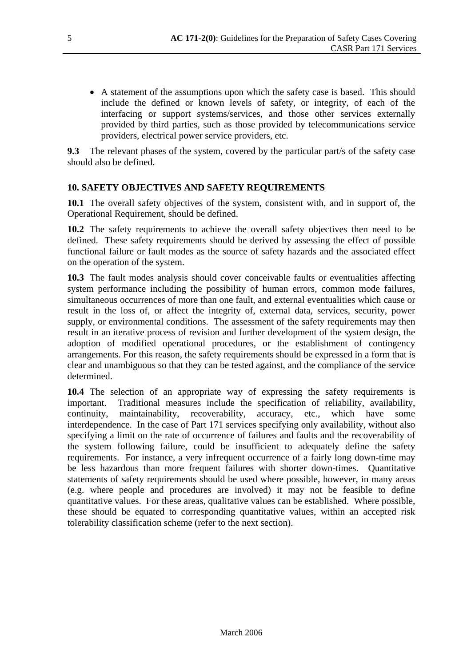• A statement of the assumptions upon which the safety case is based. This should include the defined or known levels of safety, or integrity, of each of the interfacing or support systems/services, and those other services externally provided by third parties, such as those provided by telecommunications service providers, electrical power service providers, etc.

**9.3** The relevant phases of the system, covered by the particular part/s of the safety case should also be defined.

#### **10. SAFETY OBJECTIVES AND SAFETY REQUIREMENTS**

**10.1** The overall safety objectives of the system, consistent with, and in support of, the Operational Requirement, should be defined.

**10.2** The safety requirements to achieve the overall safety objectives then need to be defined. These safety requirements should be derived by assessing the effect of possible functional failure or fault modes as the source of safety hazards and the associated effect on the operation of the system.

**10.3** The fault modes analysis should cover conceivable faults or eventualities affecting system performance including the possibility of human errors, common mode failures, simultaneous occurrences of more than one fault, and external eventualities which cause or result in the loss of, or affect the integrity of, external data, services, security, power supply, or environmental conditions. The assessment of the safety requirements may then result in an iterative process of revision and further development of the system design, the adoption of modified operational procedures, or the establishment of contingency arrangements. For this reason, the safety requirements should be expressed in a form that is clear and unambiguous so that they can be tested against, and the compliance of the service determined.

**10.4** The selection of an appropriate way of expressing the safety requirements is important. Traditional measures include the specification of reliability, availability, continuity, maintainability, recoverability, accuracy, etc., which have some interdependence. In the case of Part 171 services specifying only availability, without also specifying a limit on the rate of occurrence of failures and faults and the recoverability of the system following failure, could be insufficient to adequately define the safety requirements. For instance, a very infrequent occurrence of a fairly long down-time may be less hazardous than more frequent failures with shorter down-times. Quantitative statements of safety requirements should be used where possible, however, in many areas (e.g. where people and procedures are involved) it may not be feasible to define quantitative values. For these areas, qualitative values can be established. Where possible, these should be equated to corresponding quantitative values, within an accepted risk tolerability classification scheme (refer to the next section).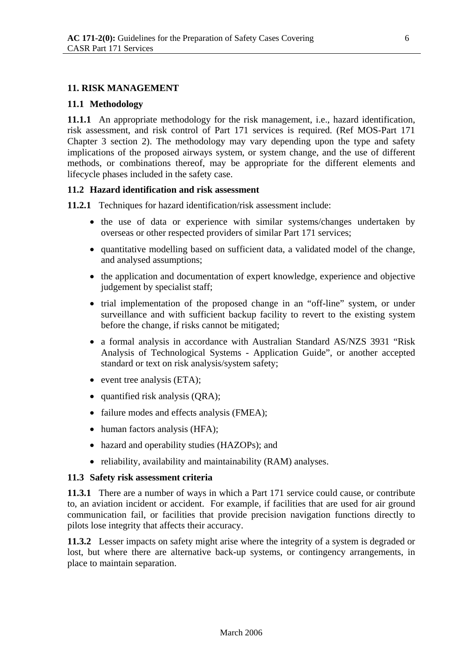#### **11. RISK MANAGEMENT**

#### **11.1 Methodology**

**11.1.1** An appropriate methodology for the risk management, i.e., hazard identification, risk assessment, and risk control of Part 171 services is required. (Ref MOS-Part 171 Chapter 3 section 2). The methodology may vary depending upon the type and safety implications of the proposed airways system, or system change, and the use of different methods, or combinations thereof, may be appropriate for the different elements and lifecycle phases included in the safety case.

#### **11.2 Hazard identification and risk assessment**

**11.2.1** Techniques for hazard identification/risk assessment include:

- the use of data or experience with similar systems/changes undertaken by overseas or other respected providers of similar Part 171 services;
- quantitative modelling based on sufficient data, a validated model of the change, and analysed assumptions;
- the application and documentation of expert knowledge, experience and objective judgement by specialist staff;
- trial implementation of the proposed change in an "off-line" system, or under surveillance and with sufficient backup facility to revert to the existing system before the change, if risks cannot be mitigated;
- a formal analysis in accordance with Australian Standard AS/NZS 3931 "Risk Analysis of Technological Systems - Application Guide", or another accepted standard or text on risk analysis/system safety;
- event tree analysis (ETA);
- quantified risk analysis (QRA);
- failure modes and effects analysis (FMEA);
- human factors analysis (HFA);
- hazard and operability studies (HAZOPs); and
- reliability, availability and maintainability (RAM) analyses.

#### **11.3 Safety risk assessment criteria**

**11.3.1** There are a number of ways in which a Part 171 service could cause, or contribute to, an aviation incident or accident. For example, if facilities that are used for air ground communication fail, or facilities that provide precision navigation functions directly to pilots lose integrity that affects their accuracy.

**11.3.2** Lesser impacts on safety might arise where the integrity of a system is degraded or lost, but where there are alternative back-up systems, or contingency arrangements, in place to maintain separation.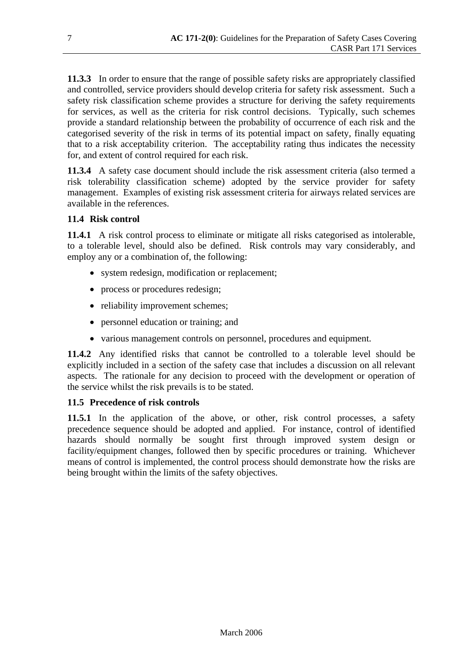**11.3.3** In order to ensure that the range of possible safety risks are appropriately classified and controlled, service providers should develop criteria for safety risk assessment. Such a safety risk classification scheme provides a structure for deriving the safety requirements for services, as well as the criteria for risk control decisions. Typically, such schemes provide a standard relationship between the probability of occurrence of each risk and the categorised severity of the risk in terms of its potential impact on safety, finally equating that to a risk acceptability criterion. The acceptability rating thus indicates the necessity for, and extent of control required for each risk.

**11.3.4** A safety case document should include the risk assessment criteria (also termed a risk tolerability classification scheme) adopted by the service provider for safety management. Examples of existing risk assessment criteria for airways related services are available in the references.

#### **11.4 Risk control**

**11.4.1** A risk control process to eliminate or mitigate all risks categorised as intolerable, to a tolerable level, should also be defined. Risk controls may vary considerably, and employ any or a combination of, the following:

- system redesign, modification or replacement;
- process or procedures redesign;
- reliability improvement schemes;
- personnel education or training; and
- various management controls on personnel, procedures and equipment.

**11.4.2** Any identified risks that cannot be controlled to a tolerable level should be explicitly included in a section of the safety case that includes a discussion on all relevant aspects. The rationale for any decision to proceed with the development or operation of the service whilst the risk prevails is to be stated.

#### **11.5 Precedence of risk controls**

**11.5.1** In the application of the above, or other, risk control processes, a safety precedence sequence should be adopted and applied. For instance, control of identified hazards should normally be sought first through improved system design or facility/equipment changes, followed then by specific procedures or training. Whichever means of control is implemented, the control process should demonstrate how the risks are being brought within the limits of the safety objectives.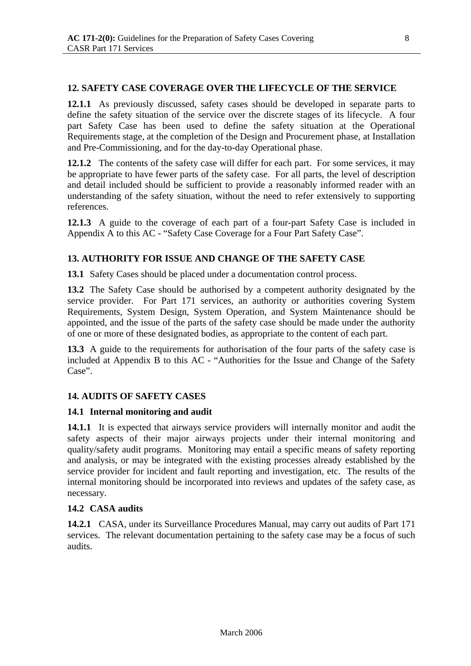#### **12. SAFETY CASE COVERAGE OVER THE LIFECYCLE OF THE SERVICE**

**12.1.1** As previously discussed, safety cases should be developed in separate parts to define the safety situation of the service over the discrete stages of its lifecycle. A four part Safety Case has been used to define the safety situation at the Operational Requirements stage, at the completion of the Design and Procurement phase, at Installation and Pre-Commissioning, and for the day-to-day Operational phase.

**12.1.2** The contents of the safety case will differ for each part. For some services, it may be appropriate to have fewer parts of the safety case. For all parts, the level of description and detail included should be sufficient to provide a reasonably informed reader with an understanding of the safety situation, without the need to refer extensively to supporting references.

**12.1.3** A guide to the coverage of each part of a four-part Safety Case is included in Appendix A to this AC - "Safety Case Coverage for a Four Part Safety Case".

#### **13. AUTHORITY FOR ISSUE AND CHANGE OF THE SAFETY CASE**

**13.1** Safety Cases should be placed under a documentation control process.

**13.2** The Safety Case should be authorised by a competent authority designated by the service provider. For Part 171 services, an authority or authorities covering System Requirements, System Design, System Operation, and System Maintenance should be appointed, and the issue of the parts of the safety case should be made under the authority of one or more of these designated bodies, as appropriate to the content of each part.

**13.3** A guide to the requirements for authorisation of the four parts of the safety case is included at Appendix B to this AC - "Authorities for the Issue and Change of the Safety Case".

#### **14. AUDITS OF SAFETY CASES**

#### **14.1 Internal monitoring and audit**

**14.1.1** It is expected that airways service providers will internally monitor and audit the safety aspects of their major airways projects under their internal monitoring and quality/safety audit programs. Monitoring may entail a specific means of safety reporting and analysis, or may be integrated with the existing processes already established by the service provider for incident and fault reporting and investigation, etc. The results of the internal monitoring should be incorporated into reviews and updates of the safety case, as necessary.

#### **14.2 CASA audits**

**14.2.1** CASA, under its Surveillance Procedures Manual, may carry out audits of Part 171 services. The relevant documentation pertaining to the safety case may be a focus of such audits.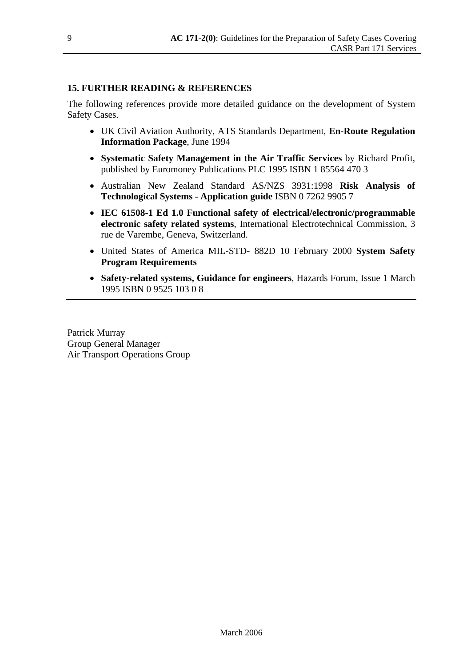#### **15. FURTHER READING & REFERENCES**

The following references provide more detailed guidance on the development of System Safety Cases.

- UK Civil Aviation Authority, ATS Standards Department, **En-Route Regulation Information Package**, June 1994
- **Systematic Safety Management in the Air Traffic Services** by Richard Profit, published by Euromoney Publications PLC 1995 ISBN 1 85564 470 3
- Australian New Zealand Standard AS/NZS 3931:1998 **Risk Analysis of Technological Systems - Application guide** ISBN 0 7262 9905 7
- **IEC 61508-1 Ed 1.0 Functional safety of electrical/electronic/programmable electronic safety related systems**, International Electrotechnical Commission, 3 rue de Varembe, Geneva, Switzerland.
- United States of America MIL-STD- 882D 10 February 2000 **System Safety Program Requirements**
- **Safety-related systems, Guidance for engineers**, Hazards Forum, Issue 1 March 1995 ISBN 0 9525 103 0 8

Patrick Murray Group General Manager Air Transport Operations Group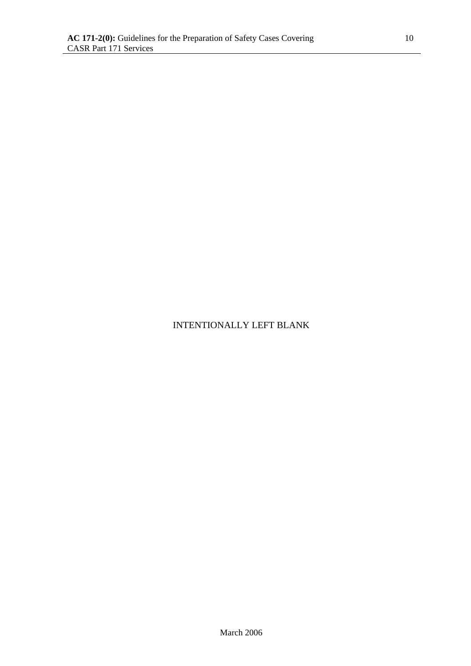#### INTENTIONALLY LEFT BLANK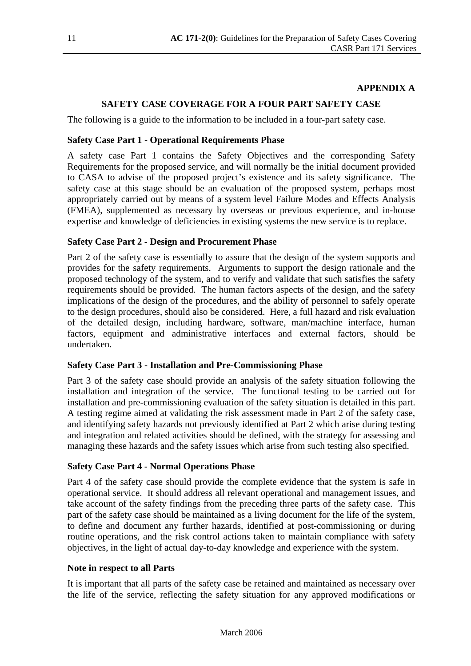#### **APPENDIX A**

#### **SAFETY CASE COVERAGE FOR A FOUR PART SAFETY CASE**

The following is a guide to the information to be included in a four-part safety case.

#### **Safety Case Part 1 - Operational Requirements Phase**

A safety case Part 1 contains the Safety Objectives and the corresponding Safety Requirements for the proposed service, and will normally be the initial document provided to CASA to advise of the proposed project's existence and its safety significance. The safety case at this stage should be an evaluation of the proposed system, perhaps most appropriately carried out by means of a system level Failure Modes and Effects Analysis (FMEA), supplemented as necessary by overseas or previous experience, and in-house expertise and knowledge of deficiencies in existing systems the new service is to replace.

#### **Safety Case Part 2 - Design and Procurement Phase**

Part 2 of the safety case is essentially to assure that the design of the system supports and provides for the safety requirements. Arguments to support the design rationale and the proposed technology of the system, and to verify and validate that such satisfies the safety requirements should be provided. The human factors aspects of the design, and the safety implications of the design of the procedures, and the ability of personnel to safely operate to the design procedures, should also be considered. Here, a full hazard and risk evaluation of the detailed design, including hardware, software, man/machine interface, human factors, equipment and administrative interfaces and external factors, should be undertaken.

#### **Safety Case Part 3 - Installation and Pre-Commissioning Phase**

Part 3 of the safety case should provide an analysis of the safety situation following the installation and integration of the service. The functional testing to be carried out for installation and pre-commissioning evaluation of the safety situation is detailed in this part. A testing regime aimed at validating the risk assessment made in Part 2 of the safety case, and identifying safety hazards not previously identified at Part 2 which arise during testing and integration and related activities should be defined, with the strategy for assessing and managing these hazards and the safety issues which arise from such testing also specified.

#### **Safety Case Part 4 - Normal Operations Phase**

Part 4 of the safety case should provide the complete evidence that the system is safe in operational service. It should address all relevant operational and management issues, and take account of the safety findings from the preceding three parts of the safety case. This part of the safety case should be maintained as a living document for the life of the system, to define and document any further hazards, identified at post-commissioning or during routine operations, and the risk control actions taken to maintain compliance with safety objectives, in the light of actual day-to-day knowledge and experience with the system.

#### **Note in respect to all Parts**

It is important that all parts of the safety case be retained and maintained as necessary over the life of the service, reflecting the safety situation for any approved modifications or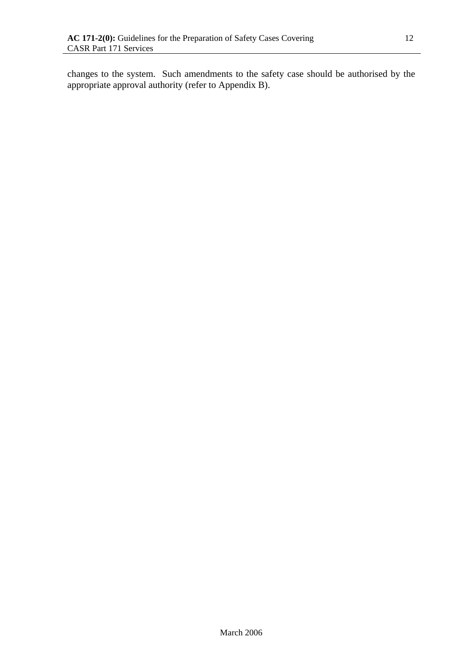changes to the system. Such amendments to the safety case should be authorised by the appropriate approval authority (refer to Appendix B).

12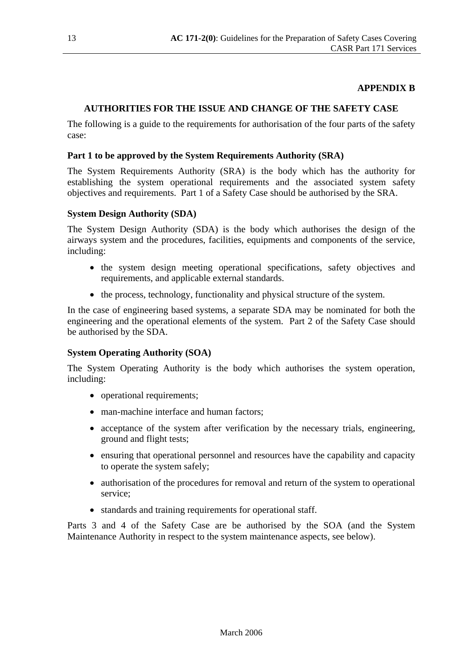#### **APPENDIX B**

#### **AUTHORITIES FOR THE ISSUE AND CHANGE OF THE SAFETY CASE**

The following is a guide to the requirements for authorisation of the four parts of the safety case:

#### **Part 1 to be approved by the System Requirements Authority (SRA)**

The System Requirements Authority (SRA) is the body which has the authority for establishing the system operational requirements and the associated system safety objectives and requirements. Part 1 of a Safety Case should be authorised by the SRA.

#### **System Design Authority (SDA)**

The System Design Authority (SDA) is the body which authorises the design of the airways system and the procedures, facilities, equipments and components of the service, including:

- the system design meeting operational specifications, safety objectives and requirements, and applicable external standards.
- the process, technology, functionality and physical structure of the system.

In the case of engineering based systems, a separate SDA may be nominated for both the engineering and the operational elements of the system. Part 2 of the Safety Case should be authorised by the SDA.

#### **System Operating Authority (SOA)**

The System Operating Authority is the body which authorises the system operation, including:

- operational requirements;
- man-machine interface and human factors;
- acceptance of the system after verification by the necessary trials, engineering, ground and flight tests;
- ensuring that operational personnel and resources have the capability and capacity to operate the system safely;
- authorisation of the procedures for removal and return of the system to operational service;
- standards and training requirements for operational staff.

Parts 3 and 4 of the Safety Case are be authorised by the SOA (and the System Maintenance Authority in respect to the system maintenance aspects, see below).